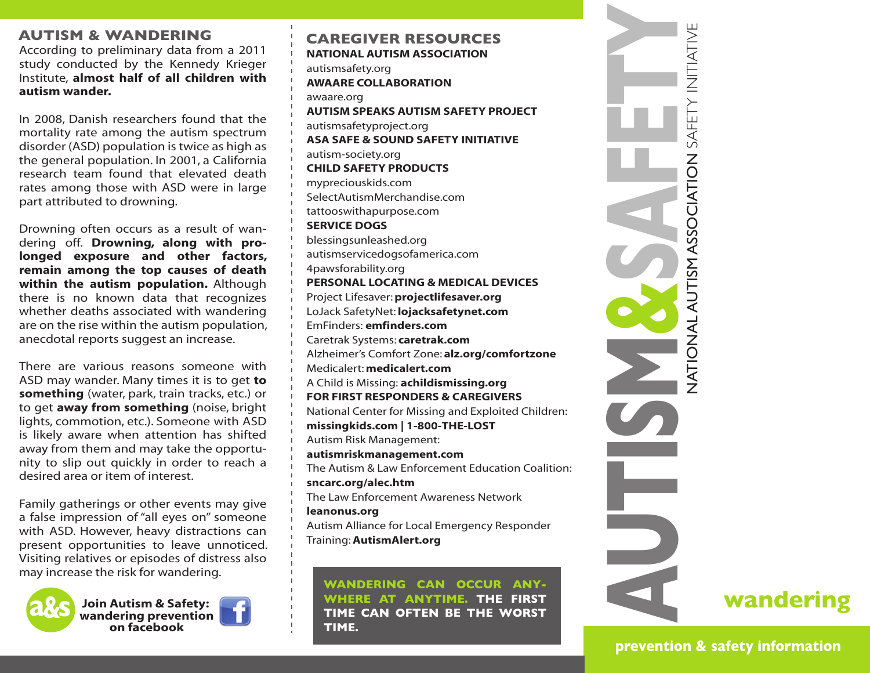### **AUTISM & WANDERING**

According to preliminary data from a 2011 study conducted by the Kennedy Krieger Institute, **almost half of all children with autism wander.** 

In 2008, Danish researchers found that the mortality rate among the autism spectrum disorder (ASD) population is twice as high as the general population. In 2001, a California research team found that elevated death rates among those with ASD were in large part attributed to drowning.

Drowning often occurs as a result of wandering off. **Drowning, along with prolonged exposure and other factors, remain among the top causes of death within the autism population.** Although there is no known data that recognizes whether deaths associated with wandering are on the rise within the autism population, anecdotal reports suggest an increase.

There are various reasons someone with ASD may wander. Many times it is to get **to something** (water, park, train tracks, etc.) or to get **away from something** (noise, bright lights, commotion, etc.). Someone with ASD is likely aware when attention has shifted away from them and may take the opportunity to slip out quickly in order to reach a desired area or item of interest.

Family gatherings or other events may give a false impression of "all eyes on" someone with ASD. However, heavy distractions can present opportunities to leave unnoticed. Visiting relatives or episodes of distress also may increase the risk for wandering.



**Join Autism & Safety: wandering prevention on facebook**



**NATIONAL AUTISM ASSOCIATION CAREGIVER RESOURCES**

autismsafety.org **AWAARE COLLABORATION**

awaare.org

**AUTISM SPEAKS AUTISM SAFETY PROJECT** autismsafetyproject.org **ASA SAFE & SOUND SAFETY INITIATIVE** autism-society.org **CHILD SAFETY PRODUCTS**

mypreciouskids.com SelectAutismMerchandise.com tattooswithapurpose.com **SERVICE DOGS** blessingsunleashed.org autismservicedogsofamerica.com 4pawsforability.org **PERSONAL LOCATING & MEDICAL DEVICES** Project Lifesaver: **projectlifesaver.org** LoJack SafetyNet: **lojacksafetynet.com** EmFinders: **emfinders.com** Caretrak Systems: **caretrak.com** Alzheimer's Comfort Zone: **alz.org/comfortzone** Medicalert: **medicalert.com** A Child is Missing: **achildismissing.org FOR FIRST RESPONDERS & CAREGIVERS** National Center for Missing and Exploited Children: **missingkids.com | 1-800-THE-LOST** Autism Risk Management: **autismriskmanagement.com** The Autism & Law Enforcement Education Coalition:

**sncarc.org/alec.htm** The Law Enforcement Awareness Network **leanonus.org**

Autism Alliance for Local Emergency Responder Training: **AutismAlert.org**

**WANDERING CAN OCCUR ANY-WHERE AT ANYTIME. THE FIRST TIME CAN OFTEN BE THE WORST TIME.** 



**prevention & safety information**